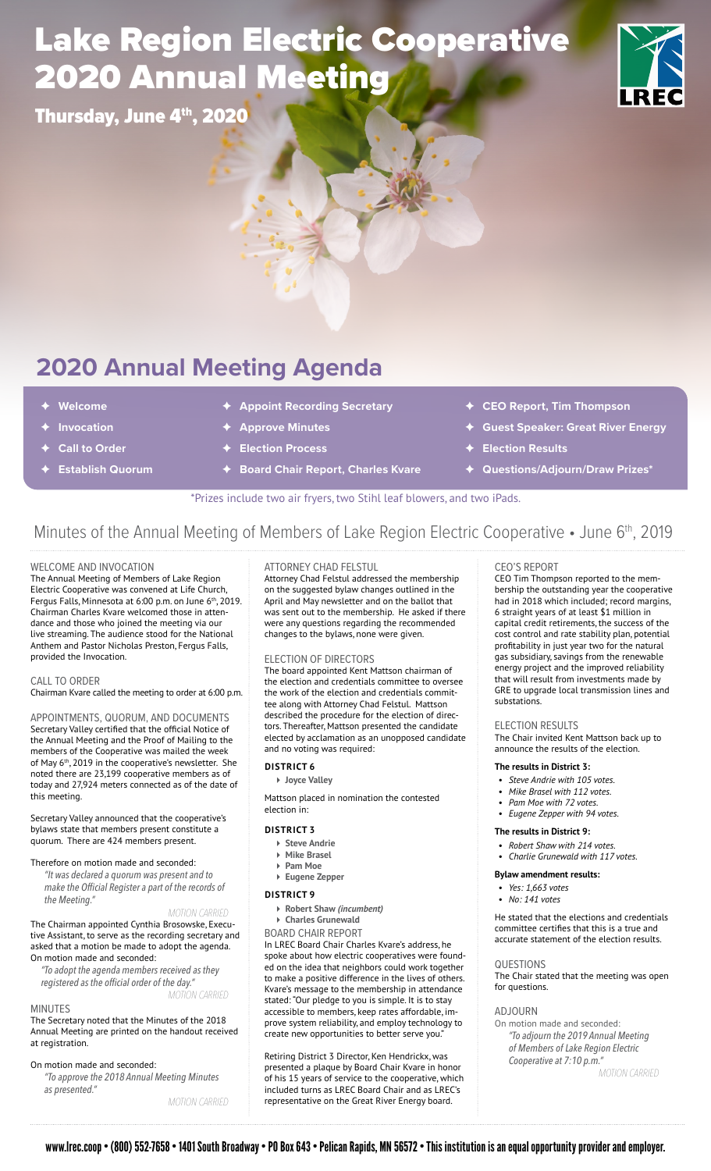## Lake Region Electric Cooperative 2020 Annual Meeting

Thursday, June 4th, 2020



## **2020 Annual Meeting Agenda**

- ✦ **Welcome**
- ✦ **Invocation**
- ✦ **Call to Order**
- ✦ **Establish Quorum**
- **Appoint Recording Secretary**
- ✦ **Approve Minutes**
- ✦ **Election Process**
- **Board Chair Report, Charles Kvare**
- ✦ **CEO Report, Tim Thompson**
- ✦ **Guest Speaker: Great River Energy**
- ✦ **Election Results**
- ✦ **Questions/Adjourn/Draw Prizes\***

\*Prizes include two air fryers, two Stihl leaf blowers, and two iPads.

### Minutes of the Annual Meeting of Members of Lake Region Electric Cooperative • June 6<sup>th</sup>, 2019

#### WELCOME AND INVOCATION

The Annual Meeting of Members of Lake Region Electric Cooperative was convened at Life Church, Fergus Falls, Minnesota at 6:00 p.m. on June 6<sup>th</sup>, 2019. Chairman Charles Kvare welcomed those in attendance and those who joined the meeting via our live streaming. The audience stood for the National Anthem and Pastor Nicholas Preston, Fergus Falls, provided the Invocation.

#### CALL TO ORDER

Chairman Kvare called the meeting to order at 6:00 p.m.

APPOINTMENTS, QUORUM, AND DOCUMENTS Secretary Valley certified that the official Notice of the Annual Meeting and the Proof of Mailing to the members of the Cooperative was mailed the week of May 6<sup>th</sup>, 2019 in the cooperative's newsletter. She noted there are 23,199 cooperative members as of today and 27,924 meters connected as of the date of this meeting.

Secretary Valley announced that the cooperative's bylaws state that members present constitute a quorum. There are 424 members present.

#### Therefore on motion made and seconded:

*"It was declared a quorum was present and to make the Official Register a part of the records of the Meeting."*

#### *MOTION CARRIED*

The Chairman appointed Cynthia Brosowske, Executive Assistant, to serve as the recording secretary and asked that a motion be made to adopt the agenda. On motion made and seconded:

*"To adopt the agenda members received as they registered as the official order of the day."*

*MOTION CARRIED*

#### MINUTES

The Secretary noted that the Minutes of the 2018 Annual Meeting are printed on the handout received at registration.

#### On motion made and seconded:

*"To approve the 2018 Annual Meeting Minutes as presented."* 

*MOTION CARRIED*

#### ATTORNEY CHAD FELSTUL

Attorney Chad Felstul addressed the membership on the suggested bylaw changes outlined in the April and May newsletter and on the ballot that was sent out to the membership. He asked if there were any questions regarding the recommended changes to the bylaws, none were given.

#### ELECTION OF DIRECTORS

The board appointed Kent Mattson chairman of the election and credentials committee to oversee the work of the election and credentials committee along with Attorney Chad Felstul. Mattson described the procedure for the election of directors. Thereafter, Mattson presented the candidate elected by acclamation as an unopposed candidate and no voting was required:

#### **DISTRICT 6**

**Joyce Valley**

Mattson placed in nomination the contested election in:

#### **DISTRICT 3**

- **Steve Andrie**
- **Mike Brasel**
- **Pam Moe Eugene Zepper**
- **DISTRICT 9**
	- **Robert Shaw** *(incumbent)*
- **Charles Grunewald**
- BOARD CHAIR REPORT

In LREC Board Chair Charles Kvare's address, he spoke about how electric cooperatives were founded on the idea that neighbors could work together to make a positive difference in the lives of others. Kvare's message to the membership in attendance stated: "Our pledge to you is simple. It is to stay accessible to members, keep rates affordable, improve system reliability, and employ technology to create new opportunities to better serve you.

Retiring District 3 Director, Ken Hendrickx, was presented a plaque by Board Chair Kvare in honor of his 15 years of service to the cooperative, which included turns as LREC Board Chair and as LREC's representative on the Great River Energy board.

CEO'S REPORT

CEO Tim Thompson reported to the membership the outstanding year the cooperative had in 2018 which included; record margins, 6 straight years of at least \$1 million in capital credit retirements, the success of the cost control and rate stability plan, potential profitability in just year two for the natural gas subsidiary, savings from the renewable energy project and the improved reliability that will result from investments made by GRE to upgrade local transmission lines and substations.

#### ELECTION RESULTS

The Chair invited Kent Mattson back up to announce the results of the election.

#### **The results in District 3:**

- *• Steve Andrie with 105 votes.*
- *• Mike Brasel with 112 votes.*
- *• Pam Moe with 72 votes. • Eugene Zepper with 94 votes.*

#### **The results in District 9:**

- *• Robert Shaw with 214 votes.*
- *• Charlie Grunewald with 117 votes.*
- **Bylaw amendment results:**
- *• Yes: 1,663 votes*
- *• No: 141 votes*

He stated that the elections and credentials committee certifies that this is a true and accurate statement of the election results.

#### QUESTIONS

The Chair stated that the meeting was open for questions.

#### ADJOURN

On motion made and seconded: *"To adjourn the 2019 Annual Meeting of Members of Lake Region Electric Cooperative at 7:10 p.m."* 

*MOTION CARRIED*